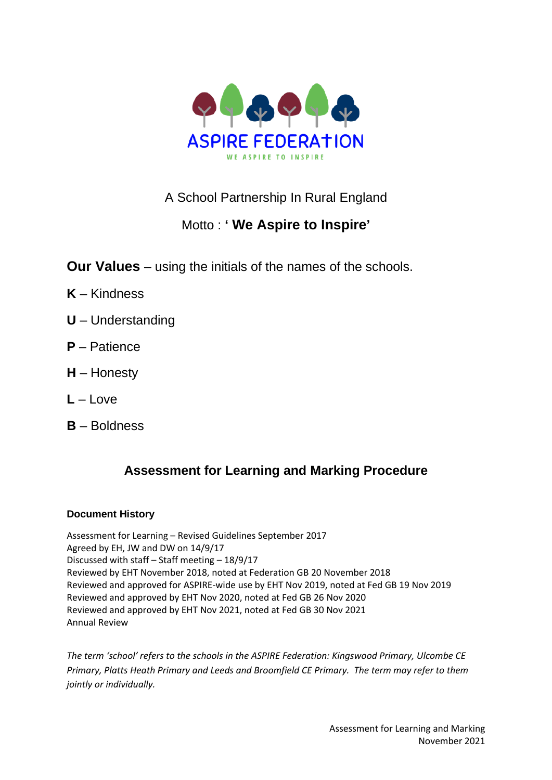

# A School Partnership In Rural England

# Motto : **' We Aspire to Inspire'**

**Our Values** – using the initials of the names of the schools.

- **K** Kindness
- **U** Understanding
- **P** Patience
- **H** Honesty
- **L** Love
- **B** Boldness

# **Assessment for Learning and Marking Procedure**

## **Document History**

Assessment for Learning – Revised Guidelines September 2017 Agreed by EH, JW and DW on 14/9/17 Discussed with staff – Staff meeting – 18/9/17 Reviewed by EHT November 2018, noted at Federation GB 20 November 2018 Reviewed and approved for ASPIRE-wide use by EHT Nov 2019, noted at Fed GB 19 Nov 2019 Reviewed and approved by EHT Nov 2020, noted at Fed GB 26 Nov 2020 Reviewed and approved by EHT Nov 2021, noted at Fed GB 30 Nov 2021 Annual Review

*The term 'school' refers to the schools in the ASPIRE Federation: Kingswood Primary, Ulcombe CE Primary, Platts Heath Primary and Leeds and Broomfield CE Primary. The term may refer to them jointly or individually.*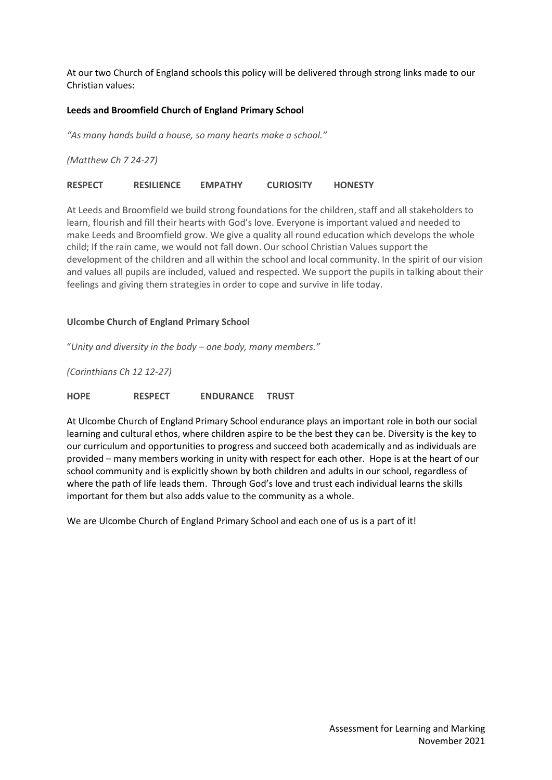At our two Church of England schools this policy will be delivered through strong links made to our Christian values:

#### **Leeds and Broomfield Church of England Primary School**

*"As many hands build a house, so many hearts make a school."*

*(Matthew Ch 7 24-27)*

**RESPECT RESILIENCE EMPATHY CURIOSITY HONESTY**

At Leeds and Broomfield we build strong foundations for the children, staff and all stakeholders to learn, flourish and fill their hearts with God's love. Everyone is important valued and needed to make Leeds and Broomfield grow. We give a quality all round education which develops the whole child; If the rain came, we would not fall down. Our school Christian Values support the development of the children and all within the school and local community. In the spirit of our vision and values all pupils are included, valued and respected. We support the pupils in talking about their feelings and giving them strategies in order to cope and survive in life today.

#### **Ulcombe Church of England Primary School**

"*Unity and diversity in the body – one body, many members."*

*(Corinthians Ch 12 12-27)*

**HOPE RESPECT ENDURANCE TRUST**

At Ulcombe Church of England Primary School endurance plays an important role in both our social learning and cultural ethos, where children aspire to be the best they can be. Diversity is the key to our curriculum and opportunities to progress and succeed both academically and as individuals are provided – many members working in unity with respect for each other. Hope is at the heart of our school community and is explicitly shown by both children and adults in our school, regardless of where the path of life leads them. Through God's love and trust each individual learns the skills important for them but also adds value to the community as a whole.

We are Ulcombe Church of England Primary School and each one of us is a part of it!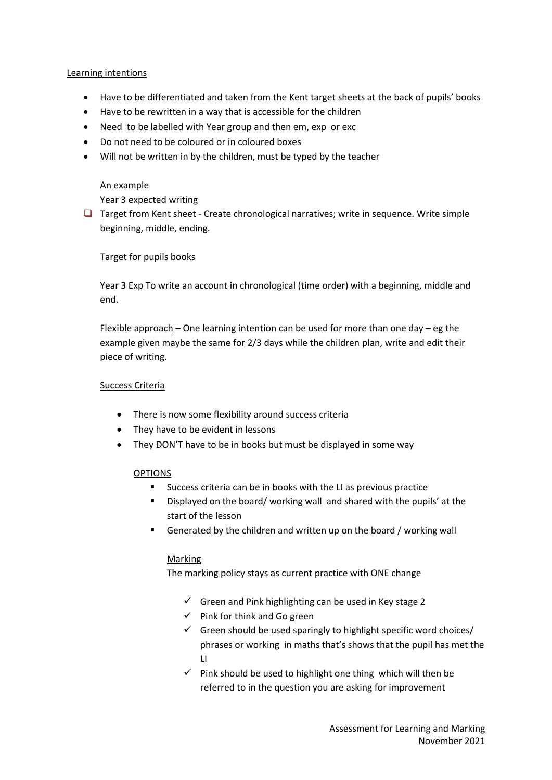#### Learning intentions

- Have to be differentiated and taken from the Kent target sheets at the back of pupils' books
- Have to be rewritten in a way that is accessible for the children
- Need to be labelled with Year group and then em, exp or exc
- Do not need to be coloured or in coloured boxes
- Will not be written in by the children, must be typed by the teacher

#### An example

Year 3 expected writing

❑ Target from Kent sheet - Create chronological narratives; write in sequence. Write simple beginning, middle, ending.

Target for pupils books

Year 3 Exp To write an account in chronological (time order) with a beginning, middle and end.

Flexible approach – One learning intention can be used for more than one day – eg the example given maybe the same for 2/3 days while the children plan, write and edit their piece of writing.

### Success Criteria

- There is now some flexibility around success criteria
- They have to be evident in lessons
- They DON'T have to be in books but must be displayed in some way

## OPTIONS

- Success criteria can be in books with the LI as previous practice
- Displayed on the board/ working wall and shared with the pupils' at the start of the lesson
- Generated by the children and written up on the board / working wall

## Marking

The marking policy stays as current practice with ONE change

- $\checkmark$  Green and Pink highlighting can be used in Key stage 2
- $\checkmark$  Pink for think and Go green
- $\checkmark$  Green should be used sparingly to highlight specific word choices/ phrases or working in maths that's shows that the pupil has met the LI
- $\checkmark$  Pink should be used to highlight one thing which will then be referred to in the question you are asking for improvement